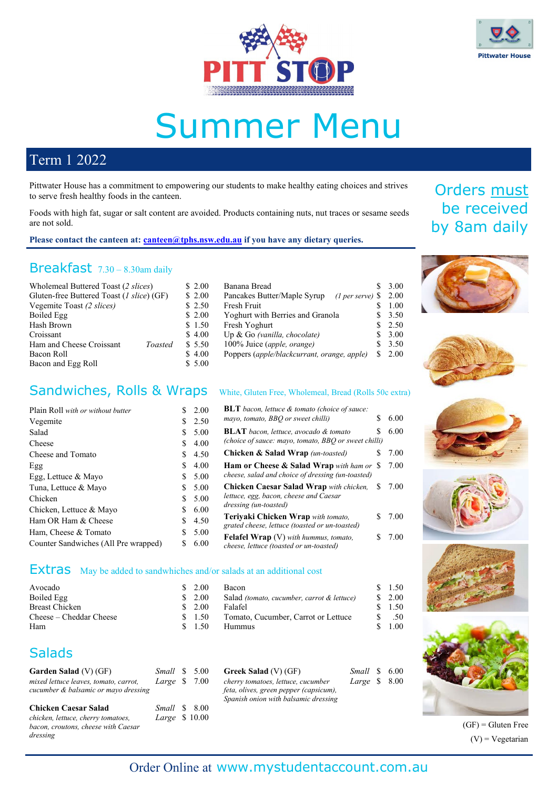



# Summer Menu

100% Juice (*apple, orange*)

Banana Bread \$ 3.00<br>Pancakes Butter/Maple Syrup (Lner serve) \$ 2.00 Pancakes Butter/Maple Syrup *(1 per serve)* \$ 2.00 Fresh Fruit  $\qquad \qquad$  \$ 1.00 Yoghurt with Berries and Granola  $$3.50$ Fresh Yoghurt \$ 2.50<br>
Up & Go (vanilla. chocolate) \$ 3.00 Up & Go (vanilla, chocolate)  $$3.00$ <br>100% Juice (apple, orange)  $$3.50$ 

Poppers (*apple/blackcurrant, orange, apple)* \$ 2.00

### Term 1 2022

Pittwater House has a commitment to empowering our students to make healthy eating choices and strives to serve fresh healthy foods in the canteen.

Foods with high fat, sugar or salt content are avoided. Products containing nuts, nut traces or sesame seeds are not sold.

Please contact the canteen at: **canteen@tphs.nsw.edu.au** if you have any dietary queries.

### Breakfast 7.30 – 8.30am daily

| Wholemeal Buttered Toast (2 slices)       |         | \$2.00  |
|-------------------------------------------|---------|---------|
| Gluten-free Buttered Toast (1 slice) (GF) |         | \$2.00  |
| Vegemite Toast (2 slices)                 |         | \$2.50  |
| Boiled Egg                                |         | \$2.00  |
| Hash Brown                                |         | \$1.50  |
| Croissant                                 |         | \$4.00  |
| Ham and Cheese Croissant                  | Toasted | \$ 5.50 |
| Bacon Roll                                |         | \$4.00  |
| Bacon and Egg Roll                        |         | \$5.00  |
|                                           |         |         |

#### Sandwiches, Rolls & Wraps White, Gluten Free, Wholemeal, Bread (Rolls 50c extra)

| Plain Roll with or without butter    | S. | 2.00   | <b>BLT</b> bacon, lettuce & tomato (choice of sauce:                                    |        |
|--------------------------------------|----|--------|-----------------------------------------------------------------------------------------|--------|
| Vegemite                             |    | \$2.50 | mayo, tomato, BBQ or sweet chilli)<br>S                                                 | 6.00   |
| Salad                                | S. | 5.00   | <b>BLAT</b> bacon, lettuce, avocado & tomato                                            | 6.00   |
| Cheese                               | S. | 4.00   | (choice of sauce: mayo, tomato, BBQ or sweet chilli)                                    |        |
| Cheese and Tomato                    | S. | 4.50   | <b>Chicken &amp; Salad Wrap</b> (un-toasted)                                            | 7.00   |
| Egg                                  | S. | 4.00   | Ham or Cheese & Salad Wrap with ham or \$                                               | 7.00   |
| Egg, Lettuce & Mayo                  | S. | 5.00   | cheese, salad and choice of dressing (un-toasted)                                       |        |
| Tuna, Lettuce & Mayo                 | S. | 5.00   | <b>Chicken Caesar Salad Wrap</b> with chicken,<br>S.                                    | 7.00   |
| Chicken                              | S. | 5.00   | lettuce, egg, bacon, cheese and Caesar                                                  |        |
| Chicken, Lettuce & Mayo              |    | 6.00   | dressing (un-toasted)                                                                   |        |
| Ham OR Ham & Cheese                  | S. | 4.50   | Terivaki Chicken Wrap with tomato.                                                      | \$7.00 |
| Ham, Cheese & Tomato                 | S. | 5.00   | grated cheese, lettuce (toasted or un-toasted)                                          |        |
| Counter Sandwiches (All Pre wrapped) | S  | 6.00   | <b>Felafel Wrap</b> (V) with hummus, tomato,<br>cheese, lettuce (toasted or un-toasted) | 7.00   |

#### Extras May be added to sandwhiches and/or salads at an additional cost

| Avocado                 | \$2.00 | Bacon                                                 | 1.50     |
|-------------------------|--------|-------------------------------------------------------|----------|
| Boiled Egg              | \$2.00 | Salad <i>(tomato, cucumber, carrot &amp; lettuce)</i> | 2.00     |
| Breast Chicken          | 2.00   | Falafel                                               | 1.50     |
| Cheese – Cheddar Cheese | \$1.50 | Tomato, Cucumber, Carrot or Lettuce                   | .50      |
| Ham                     | - 1.50 | <b>Hummus</b>                                         | $1.00\,$ |

### **Salads**

| Garden Salad $(V)$ (GF)               | <i>Small</i> \$ 5.00 |  |               |
|---------------------------------------|----------------------|--|---------------|
| mixed lettuce leaves, tomato, carrot, | Large $$7.00$        |  | $\mathcal{C}$ |
| cucumber & balsamic or mayo dressing  |                      |  | S             |
| <b>Chicken Caesar Salad</b>           | Small \$ 8.00        |  |               |
| chicken, lettuce, cherry tomatoes,    | Large \$ 10.00       |  |               |

*bacon, croutons, cheese with Caesar dressing*

| Greek Salad (V) (GF)                   | Small \$ 6.00 |  |
|----------------------------------------|---------------|--|
| cherry tomatoes, lettuce, cucumber     | Large \$ 8.00 |  |
| feta, olives, green pepper (capsicum), |               |  |
| Spanish onion with balsamic dressing   |               |  |

## Orders must be received by 8am daily













 $(GF)$  = Gluten Free  $(V)$  = Vegetarian